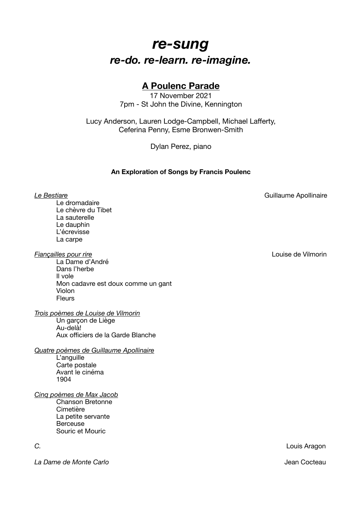## *re-sung re-do. re-learn. re-imagine.*

## **A Poulenc Parade**

17 November 2021 7pm - St John the Divine, Kennington

Lucy Anderson, Lauren Lodge-Campbell, Michael Lafferty, Ceferina Penny, Esme Bronwen-Smith

Dylan Perez, piano

## **An Exploration of Songs by Francis Poulenc**

**Le Bestiare Contract Contract Contract Contract Contract Contract Contract Contract Contract Contract Contract Contract Contract Contract Contract Contract Contract Contract Contract Contract Contract Contract Contrac** 

Le dromadaire Le chèvre du Tibet La sauterelle Le dauphin L'écrevisse La carpe

*Fiançailles pour rire* Louise de Vilmorin

La Dame d'André Dans l'herbe Il vole Mon cadavre est doux comme un gant Violon **Fleurs** 

*Trois poèmes de Louise de Vilmorin* 

Un garçon de Liège Au-delà! Aux officiers de la Garde Blanche

*Quatre poèmes de Guillaume Apollinaire*  L'anguille Carte postale Avant le cinéma 1904

## *Cinq poèmes de Max Jacob*

Chanson Bretonne Cimetière La petite servante **Berceuse** Souric et Mouric

*La Dame de Monte Carlo* Jean Cocteau

*C.* Louis Aragon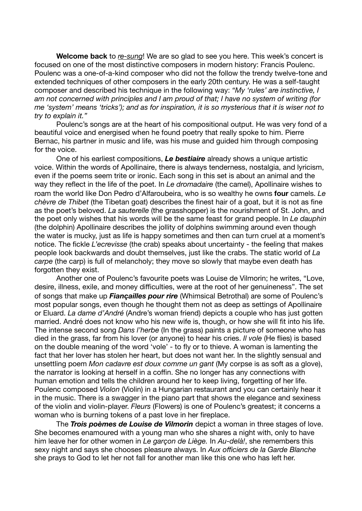**Welcome back** to *re-sung*! We are so glad to see you here. This week's concert is focused on one of the most distinctive composers in modern history: Francis Poulenc. Poulenc was a one-of-a-kind composer who did not the follow the trendy twelve-tone and extended techniques of other composers in the early 20th century. He was a self-taught composer and described his technique in the following way: *"My 'rules' are instinctive, I am not concerned with principles and I am proud of that; I have no system of writing (for me 'system' means 'tricks'); and as for inspiration, it is so mysterious that it is wiser not to try to explain it."*

Poulenc's songs are at the heart of his compositional output. He was very fond of a beautiful voice and energised when he found poetry that really spoke to him. Pierre Bernac, his partner in music and life, was his muse and guided him through composing for the voice.

One of his earliest compositions, *Le bestiaire* already shows a unique artistic voice. Within the words of Apollinaire, there is always tenderness, nostalgia, and lyricism, even if the poems seem trite or ironic. Each song in this set is about an animal and the way they reflect in the life of the poet. In *Le dromadaire* (the camel), Apollinaire wishes to roam the world like Don Pedro d'Alfaroubeira, who is so wealthy he owns **four** camels. *Le chèvre de Thibet* (the Tibetan goat) describes the finest hair of a goat, but it is not as fine as the poet's beloved. *La sauterelle* (the grasshopper) is the nourishment of St. John, and the poet only wishes that his words will be the same feast for grand people. In *Le dauphin*  (the dolphin) Apollinaire describes the jollity of dolphins swimming around even though the water is mucky, just as life is happy sometimes and then can turn cruel at a moment's notice. The fickle *L'ecrevisse* (the crab) speaks about uncertainty - the feeling that makes people look backwards and doubt themselves, just like the crabs. The static world of *La carpe* (the carp) is full of melancholy; they move so slowly that maybe even death has forgotten they exist.

Another one of Poulenc's favourite poets was Louise de Vilmorin; he writes, "Love, desire, illness, exile, and money difficulties, were at the root of her genuineness". The set of songs that make up *Fiançailles pour rire* (Whimsical Betrothal) are some of Poulenc's most popular songs, even though he thought them not as deep as settings of Apollinaire or Eluard. *La dame d'André* (Andre's woman friend) depicts a couple who has just gotten married. André does not know who his new wife is, though, or how she will fit into his life. The intense second song *Dans l'herbe* (In the grass) paints a picture of someone who has died in the grass, far from his lover (or anyone) to hear his cries. *Il vole* (He flies) is based on the double meaning of the word 'vole' - to fly or to thieve. A woman is lamenting the fact that her lover has stolen her heart, but does not want her. In the slightly sensual and unsettling poem *Mon cadavre est doux comme un gant* (My corpse is as soft as a glove), the narrator is looking at herself in a coffin. She no longer has any connections with human emotion and tells the children around her to keep living, forgetting of her life. Poulenc composed *Violon* (Violin) in a Hungarian restaurant and you can certainly hear it in the music. There is a swagger in the piano part that shows the elegance and sexiness of the violin and violin-player. *Fleurs* (Flowers) is one of Poulenc's greatest; it concerns a woman who is burning tokens of a past love in her fireplace.

The *Trois poèmes de Louise de Vilmorin* depict a woman in three stages of love. She becomes enamoured with a young man who she shares a night with, only to have him leave her for other women in *Le garçon de Liège.* In *Au-delà!*, she remembers this sexy night and says she chooses pleasure always. In *Aux officiers de la Garde Blanche* she prays to God to let her not fall for another man like this one who has left her.